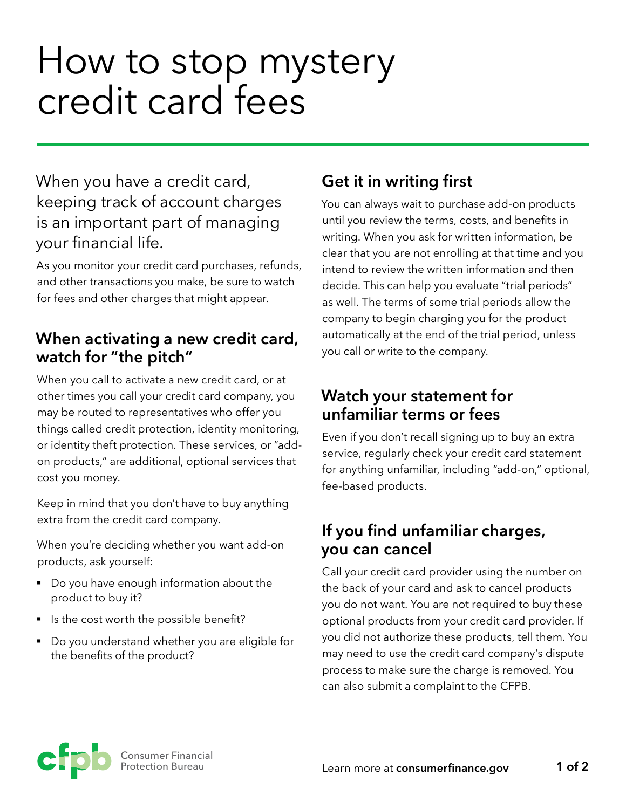# How to stop mystery credit card fees

When you have a credit card, keeping track of account charges is an important part of managing your financial life.

As you monitor your credit card purchases, refunds, and other transactions you make, be sure to watch for fees and other charges that might appear.

#### **When activating a new credit card, watch for "the pitch"**

When you call to activate a new credit card, or at other times you call your credit card company, you may be routed to representatives who offer you things called credit protection, identity monitoring, or identity theft protection. These services, or "addon products," are additional, optional services that cost you money.

Keep in mind that you don't have to buy anything extra from the credit card company.

When you're deciding whether you want add-on products, ask yourself:

- Do you have enough information about the product to buy it?
- Is the cost worth the possible benefit?
- Do you understand whether you are eligible for the benefits of the product?

## **Get it in writing first**

You can always wait to purchase add-on products until you review the terms, costs, and benefits in writing. When you ask for written information, be clear that you are not enrolling at that time and you intend to review the written information and then decide. This can help you evaluate "trial periods" as well. The terms of some trial periods allow the company to begin charging you for the product automatically at the end of the trial period, unless you call or write to the company.

#### **Watch your statement for unfamiliar terms or fees**

Even if you don't recall signing up to buy an extra service, regularly check your credit card statement for anything unfamiliar, including "add-on," optional, fee-based products.

### **If you find unfamiliar charges, you can cancel**

Call your credit card provider using the number on the back of your card and ask to cancel products you do not want. You are not required to buy these optional products from your credit card provider. If you did not authorize these products, tell them. You may need to use the credit card company's dispute process to make sure the charge is removed. You can also submit a complaint to the CFPB.